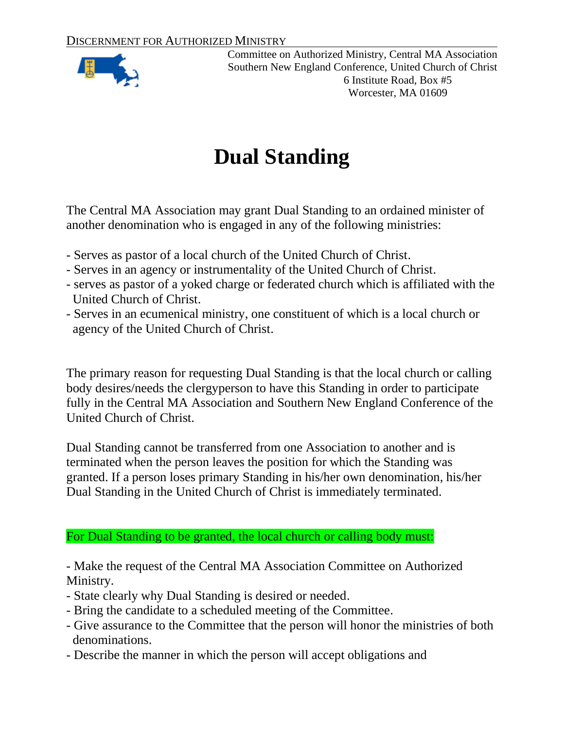

Committee on Authorized Ministry, Central MA Association Southern New England Conference, United Church of Christ 6 Institute Road, Box #5 Worcester, MA 01609

## **Dual Standing**

The Central MA Association may grant Dual Standing to an ordained minister of another denomination who is engaged in any of the following ministries:

- Serves as pastor of a local church of the United Church of Christ.
- Serves in an agency or instrumentality of the United Church of Christ.
- serves as pastor of a yoked charge or federated church which is affiliated with the United Church of Christ.
- Serves in an ecumenical ministry, one constituent of which is a local church or agency of the United Church of Christ.

The primary reason for requesting Dual Standing is that the local church or calling body desires/needs the clergyperson to have this Standing in order to participate fully in the Central MA Association and Southern New England Conference of the United Church of Christ.

Dual Standing cannot be transferred from one Association to another and is terminated when the person leaves the position for which the Standing was granted. If a person loses primary Standing in his/her own denomination, his/her Dual Standing in the United Church of Christ is immediately terminated.

## For Dual Standing to be granted, the local church or calling body must:

- Make the request of the Central MA Association Committee on Authorized Ministry.

- State clearly why Dual Standing is desired or needed.
- Bring the candidate to a scheduled meeting of the Committee.
- Give assurance to the Committee that the person will honor the ministries of both denominations.
- Describe the manner in which the person will accept obligations and